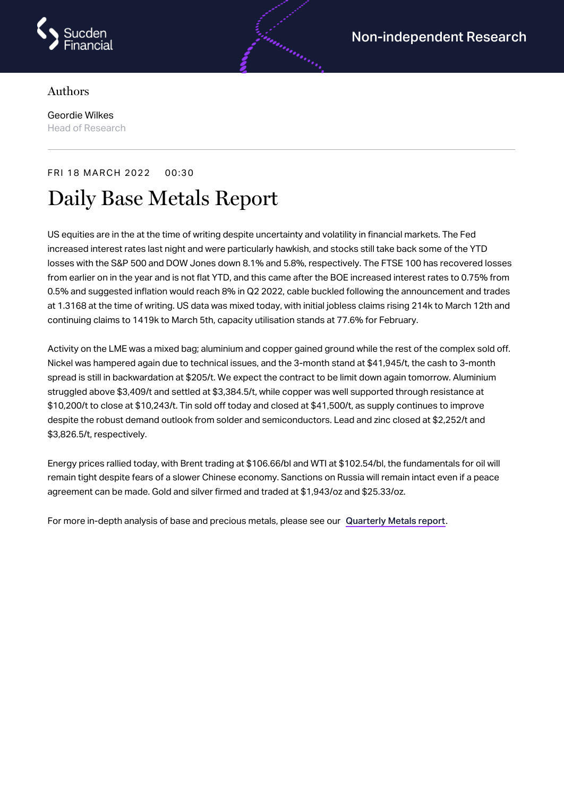

## Authors

Geordie Wilkes Head of Research

## FRI 18 MARCH 2022 00:30

# Daily Base Metals Report

US equities are in the at the time of writing despite uncertainty and volatility in financial markets. The Fed increased interest rates last night and were particularly hawkish, and stocks still take back some of the YTD losses with the S&P 500 and DOW Jones down 8.1% and 5.8%, respectively. The FTSE 100 has recovered losses from earlier on in the year and is not flat YTD, and this came after the BOE increased interest rates to 0.75% from 0.5% and suggested inflation would reach 8% in Q2 2022, cable buckled following the announcement and trades at 1.3168 at the time of writing. US data was mixed today, with initial jobless claims rising 214k to March 12th and continuing claims to 1419k to March 5th, capacity utilisation stands at 77.6% for February.

an an an Said

Activity on the LME was a mixed bag; aluminium and copper gained ground while the rest of the complex sold off. Nickel was hampered again due to technical issues, and the 3-month stand at \$41,945/t, the cash to 3-month spread is still in backwardation at \$205/t. We expect the contract to be limit down again tomorrow. Aluminium struggled above \$3,409/t and settled at \$3,384.5/t, while copper was well supported through resistance at \$10,200/t to close at \$10,243/t. Tin sold off today and closed at \$41,500/t, as supply continues to improve despite the robust demand outlook from solder and semiconductors. Lead and zinc closed at \$2,252/t and \$3,826.5/t, respectively.

Energy prices rallied today, with Brent trading at \$106.66/bl and WTI at \$102.54/bl, the fundamentals for oil will remain tight despite fears of a slower Chinese economy. Sanctions on Russia will remain intact even if a peace agreement can be made. Gold and silver firmed and traded at \$1,943/oz and \$25.33/oz.

For more in-depth analysis of base and precious metals, please see our [Quarterly](https://www.sucdenfinancial.com/en/reports/quarterly-metals/qmr-q1-2022/) Metals report.